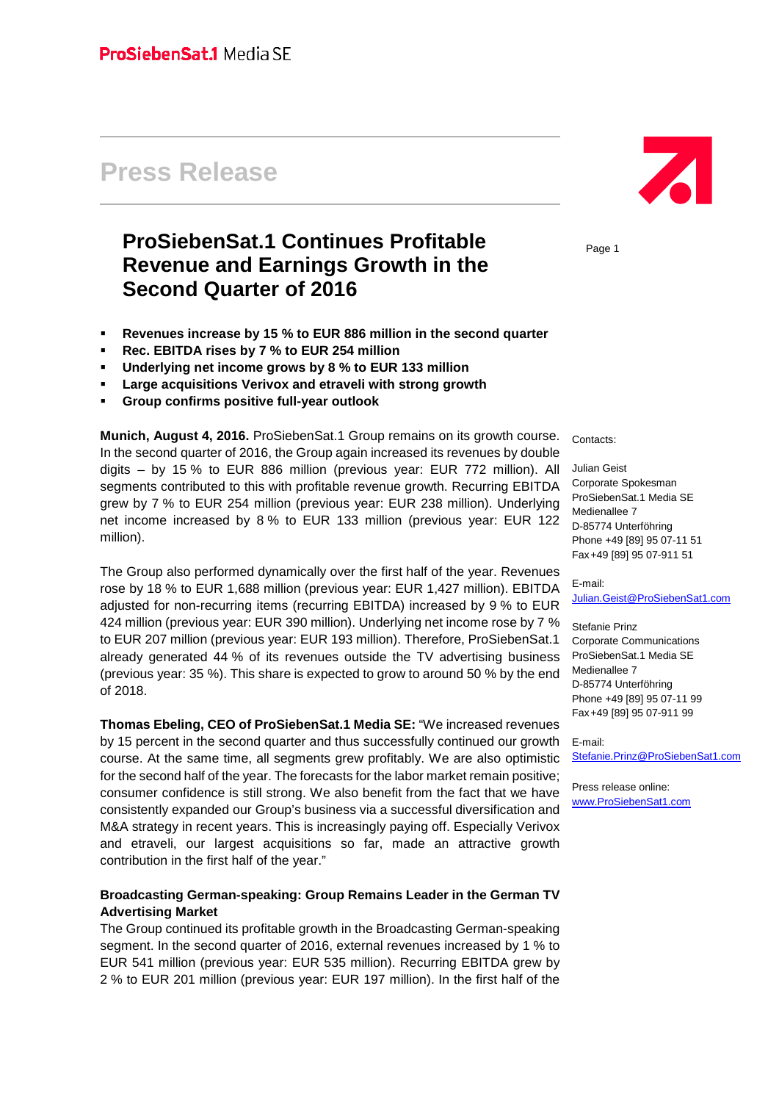# **Press Release**

# **ProSiebenSat.1 Continues Profitable Revenue and Earnings Growth in the Second Quarter of 2016**

- **Revenues increase by 15 % to EUR 886 million in the second quarter**
- **Rec. EBITDA rises by 7 % to EUR 254 million**
- **Underlying net income grows by 8 % to EUR 133 million**
- **Large acquisitions Verivox and etraveli with strong growth**
- **Group confirms positive full-year outlook**

**Munich, August 4, 2016.** ProSiebenSat.1 Group remains on its growth course. In the second quarter of 2016, the Group again increased its revenues by double digits – by 15 % to EUR 886 million (previous year: EUR 772 million). All segments contributed to this with profitable revenue growth. Recurring EBITDA grew by 7 % to EUR 254 million (previous year: EUR 238 million). Underlying net income increased by 8 % to EUR 133 million (previous year: EUR 122 million).

The Group also performed dynamically over the first half of the year. Revenues rose by 18 % to EUR 1,688 million (previous year: EUR 1,427 million). EBITDA adjusted for non-recurring items (recurring EBITDA) increased by 9 % to EUR 424 million (previous year: EUR 390 million). Underlying net income rose by 7 % to EUR 207 million (previous year: EUR 193 million). Therefore, ProSiebenSat.1 already generated 44 % of its revenues outside the TV advertising business (previous year: 35 %). This share is expected to grow to around 50 % by the end of 2018.

**Thomas Ebeling, CEO of ProSiebenSat.1 Media SE:** "We increased revenues by 15 percent in the second quarter and thus successfully continued our growth course. At the same time, all segments grew profitably. We are also optimistic for the second half of the year. The forecasts for the labor market remain positive; consumer confidence is still strong. We also benefit from the fact that we have consistently expanded our Group's business via a successful diversification and M&A strategy in recent years. This is increasingly paying off. Especially Verivox and etraveli, our largest acquisitions so far, made an attractive growth contribution in the first half of the year."

### **Broadcasting German-speaking: Group Remains Leader in the German TV Advertising Market**

The Group continued its profitable growth in the Broadcasting German-speaking segment. In the second quarter of 2016, external revenues increased by 1 % to EUR 541 million (previous year: EUR 535 million). Recurring EBITDA grew by 2 % to EUR 201 million (previous year: EUR 197 million). In the first half of the



Page 1

Contacts:

Julian Geist Corporate Spokesman ProSiebenSat.1 Media SE Medienallee 7 D-85774 Unterföhring Phone +49 [89] 95 07-11 51 Fax+49 [89] 95 07-911 51

#### E-mail: [Julian.Geist@ProSiebenSat1.com](mailto:Julian.Geist@ProSiebenSat1.com)

Stefanie Prinz Corporate Communications ProSiebenSat.1 Media SE Medienallee 7 D-85774 Unterföhring Phone +49 [89] 95 07-11 99 Fax+49 [89] 95 07-911 99

E-mail: [Stefanie.Prinz@ProSiebenSat1.com](mailto:Stefanie.Prinz@ProSiebenSat1.com)

Press release online: [www.ProSiebenSat1.com](http://www.prosiebensat1.com/)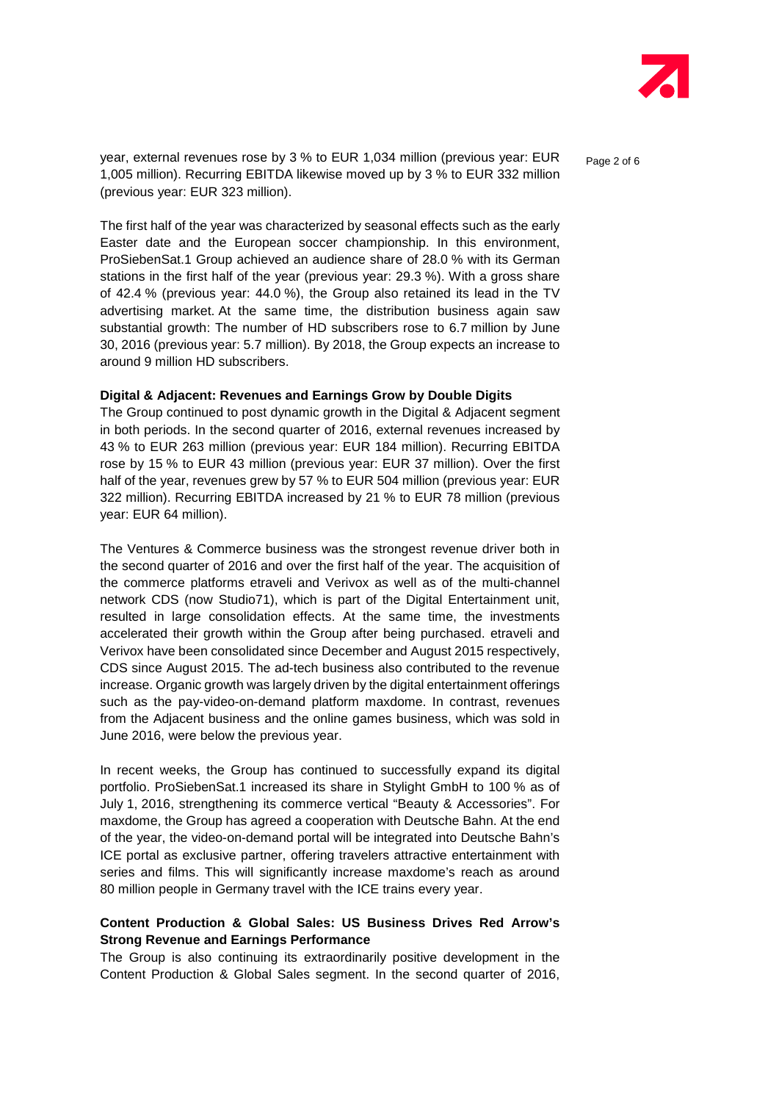

year, external revenues rose by 3 % to EUR 1,034 million (previous year: EUR  $P_{\text{a}ae 2 of 6}$ 1,005 million). Recurring EBITDA likewise moved up by 3 % to EUR 332 million (previous year: EUR 323 million).

The first half of the year was characterized by seasonal effects such as the early Easter date and the European soccer championship. In this environment, ProSiebenSat.1 Group achieved an audience share of 28.0 % with its German stations in the first half of the year (previous year: 29.3 %). With a gross share of 42.4 % (previous year: 44.0 %), the Group also retained its lead in the TV advertising market. At the same time, the distribution business again saw substantial growth: The number of HD subscribers rose to 6.7 million by June 30, 2016 (previous year: 5.7 million). By 2018, the Group expects an increase to around 9 million HD subscribers.

#### **Digital & Adjacent: Revenues and Earnings Grow by Double Digits**

The Group continued to post dynamic growth in the Digital & Adjacent segment in both periods. In the second quarter of 2016, external revenues increased by 43 % to EUR 263 million (previous year: EUR 184 million). Recurring EBITDA rose by 15 % to EUR 43 million (previous year: EUR 37 million). Over the first half of the year, revenues grew by 57 % to EUR 504 million (previous year: EUR 322 million). Recurring EBITDA increased by 21 % to EUR 78 million (previous year: EUR 64 million).

The Ventures & Commerce business was the strongest revenue driver both in the second quarter of 2016 and over the first half of the year. The acquisition of the commerce platforms etraveli and Verivox as well as of the multi-channel network CDS (now Studio71), which is part of the Digital Entertainment unit, resulted in large consolidation effects. At the same time, the investments accelerated their growth within the Group after being purchased. etraveli and Verivox have been consolidated since December and August 2015 respectively, CDS since August 2015. The ad-tech business also contributed to the revenue increase. Organic growth was largely driven by the digital entertainment offerings such as the pay-video-on-demand platform maxdome. In contrast, revenues from the Adjacent business and the online games business, which was sold in June 2016, were below the previous year.

In recent weeks, the Group has continued to successfully expand its digital portfolio. ProSiebenSat.1 increased its share in Stylight GmbH to 100 % as of July 1, 2016, strengthening its commerce vertical "Beauty & Accessories". For maxdome, the Group has agreed a cooperation with Deutsche Bahn. At the end of the year, the video-on-demand portal will be integrated into Deutsche Bahn's ICE portal as exclusive partner, offering travelers attractive entertainment with series and films. This will significantly increase maxdome's reach as around 80 million people in Germany travel with the ICE trains every year.

# **Content Production & Global Sales: US Business Drives Red Arrow's Strong Revenue and Earnings Performance**

The Group is also continuing its extraordinarily positive development in the Content Production & Global Sales segment. In the second quarter of 2016,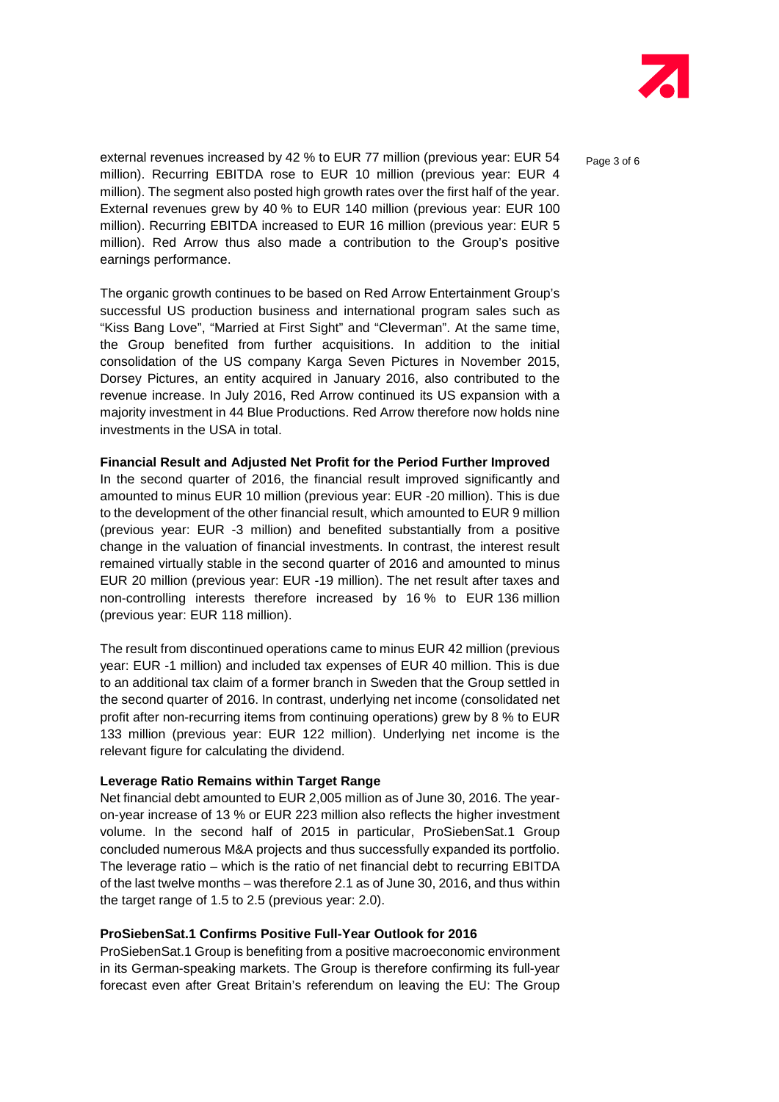

external revenues increased by 42 % to EUR 77 million (previous year: EUR 54  $P_{\text{a}ae 3 of 6}$ million). Recurring EBITDA rose to EUR 10 million (previous year: EUR 4 million). The segment also posted high growth rates over the first half of the year. External revenues grew by 40 % to EUR 140 million (previous year: EUR 100 million). Recurring EBITDA increased to EUR 16 million (previous year: EUR 5 million). Red Arrow thus also made a contribution to the Group's positive earnings performance.

The organic growth continues to be based on Red Arrow Entertainment Group's successful US production business and international program sales such as "Kiss Bang Love", "Married at First Sight" and "Cleverman". At the same time, the Group benefited from further acquisitions. In addition to the initial consolidation of the US company Karga Seven Pictures in November 2015, Dorsey Pictures, an entity acquired in January 2016, also contributed to the revenue increase. In July 2016, Red Arrow continued its US expansion with a majority investment in 44 Blue Productions. Red Arrow therefore now holds nine investments in the USA in total.

#### **Financial Result and Adjusted Net Profit for the Period Further Improved**

In the second quarter of 2016, the financial result improved significantly and amounted to minus EUR 10 million (previous year: EUR -20 million). This is due to the development of the other financial result, which amounted to EUR 9 million (previous year: EUR -3 million) and benefited substantially from a positive change in the valuation of financial investments. In contrast, the interest result remained virtually stable in the second quarter of 2016 and amounted to minus EUR 20 million (previous year: EUR -19 million). The net result after taxes and non-controlling interests therefore increased by 16 % to EUR 136 million (previous year: EUR 118 million).

The result from discontinued operations came to minus EUR 42 million (previous year: EUR -1 million) and included tax expenses of EUR 40 million. This is due to an additional tax claim of a former branch in Sweden that the Group settled in the second quarter of 2016. In contrast, underlying net income (consolidated net profit after non-recurring items from continuing operations) grew by 8 % to EUR 133 million (previous year: EUR 122 million). Underlying net income is the relevant figure for calculating the dividend.

#### **Leverage Ratio Remains within Target Range**

Net financial debt amounted to EUR 2,005 million as of June 30, 2016. The yearon-year increase of 13 % or EUR 223 million also reflects the higher investment volume. In the second half of 2015 in particular, ProSiebenSat.1 Group concluded numerous M&A projects and thus successfully expanded its portfolio. The leverage ratio – which is the ratio of net financial debt to recurring EBITDA of the last twelve months – was therefore 2.1 as of June 30, 2016, and thus within the target range of 1.5 to 2.5 (previous year: 2.0).

#### **ProSiebenSat.1 Confirms Positive Full-Year Outlook for 2016**

ProSiebenSat.1 Group is benefiting from a positive macroeconomic environment in its German-speaking markets. The Group is therefore confirming its full-year forecast even after Great Britain's referendum on leaving the EU: The Group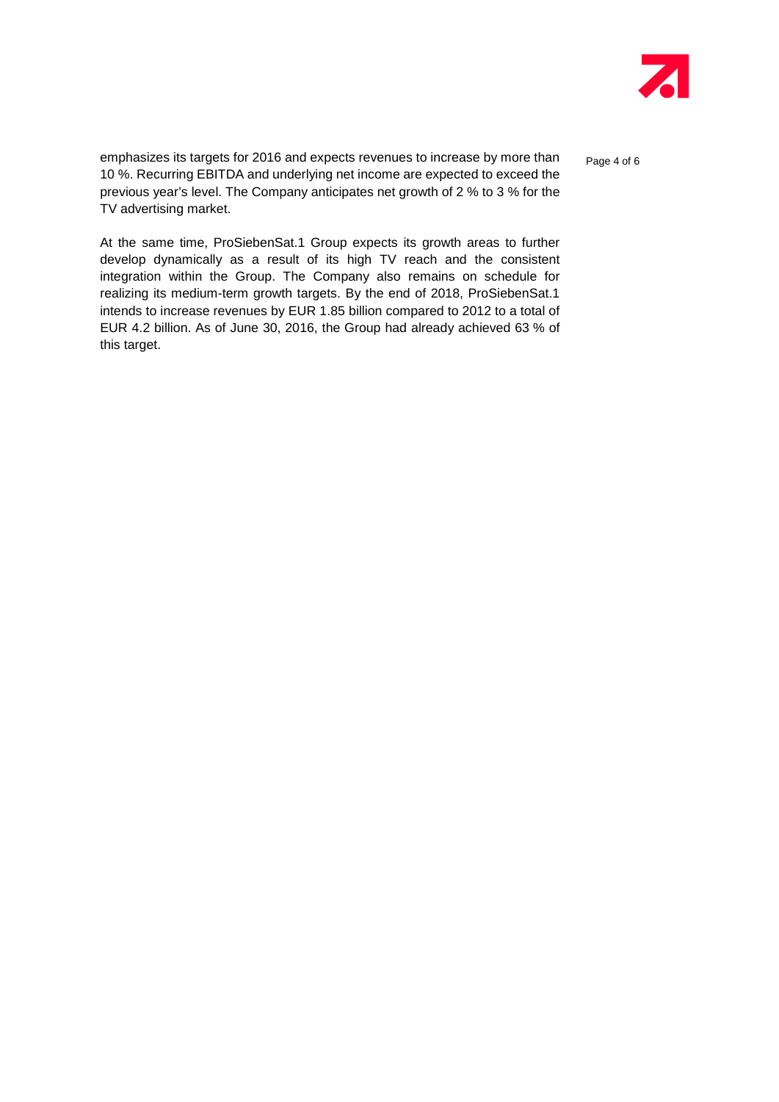

emphasizes its targets for 2016 and expects revenues to increase by more than  $_{\text{Page 4 of 6}}$ 10 %. Recurring EBITDA and underlying net income are expected to exceed the previous year's level. The Company anticipates net growth of 2 % to 3 % for the TV advertising market.

At the same time, ProSiebenSat.1 Group expects its growth areas to further develop dynamically as a result of its high TV reach and the consistent integration within the Group. The Company also remains on schedule for realizing its medium-term growth targets. By the end of 2018, ProSiebenSat.1 intends to increase revenues by EUR 1.85 billion compared to 2012 to a total of EUR 4.2 billion. As of June 30, 2016, the Group had already achieved 63 % of this target.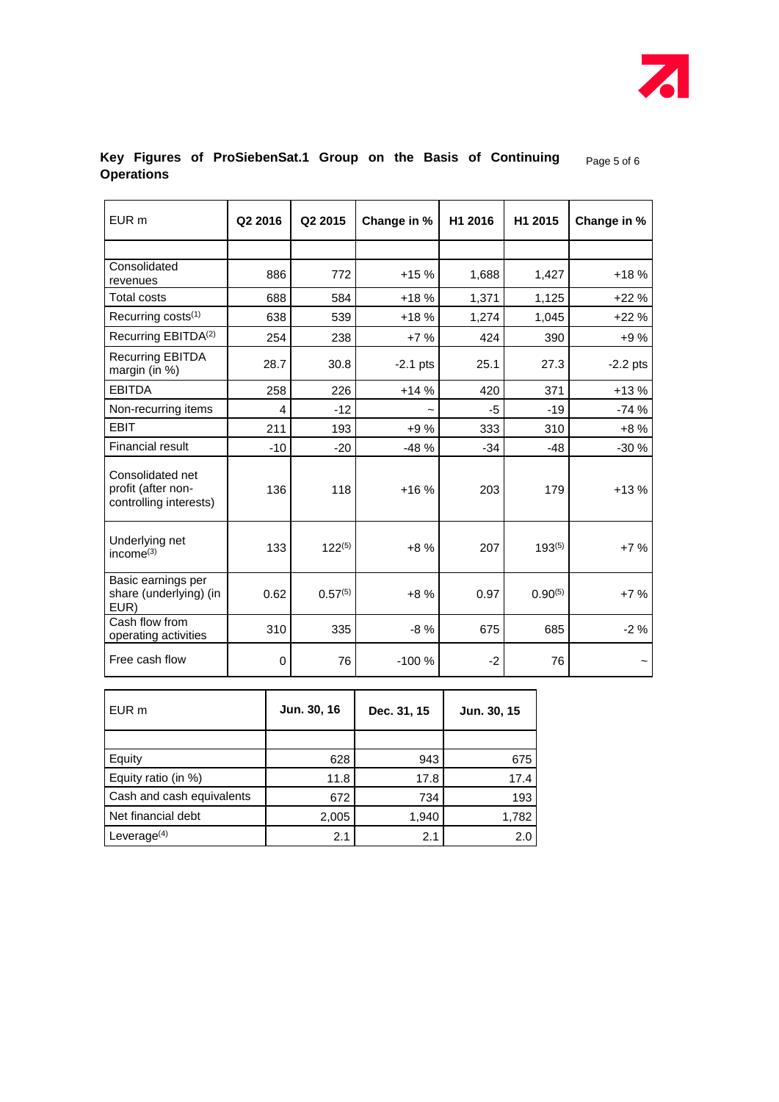

# Key Figures of ProSiebenSat.1 Group on the Basis of Continuing **Page 5 of 6 Operations**

| EUR <sub>m</sub>                                                 | Q2 2016 | Q <sub>2</sub> 2015 | Change in % | H1 2016     | H1 2015      | Change in % |
|------------------------------------------------------------------|---------|---------------------|-------------|-------------|--------------|-------------|
|                                                                  |         |                     |             |             |              |             |
| Consolidated<br>revenues                                         | 886     | 772                 | $+15%$      | 1,688       | 1,427        | $+18%$      |
| <b>Total costs</b>                                               | 688     | 584                 | $+18%$      | 1,371       | 1,125        | $+22%$      |
| Recurring costs <sup>(1)</sup>                                   | 638     | 539                 | $+18%$      | 1,274       | 1,045        | $+22%$      |
| Recurring EBITDA <sup>(2)</sup>                                  | 254     | 238                 | $+7%$       | 424         | 390          | $+9%$       |
| <b>Recurring EBITDA</b><br>margin (in %)                         | 28.7    | 30.8                | $-2.1$ pts  | 25.1        | 27.3         | $-2.2$ pts  |
| <b>EBITDA</b>                                                    | 258     | 226                 | $+14%$      | 420         | 371          | $+13%$      |
| Non-recurring items                                              | 4       | $-12$               |             | $-5$        | $-19$        | $-74%$      |
| <b>EBIT</b>                                                      | 211     | 193                 | +9%         | 333         | 310          | $+8%$       |
| <b>Financial result</b>                                          | $-10$   | $-20$               | $-48%$      | $-34$       | $-48$        | $-30%$      |
| Consolidated net<br>profit (after non-<br>controlling interests) | 136     | 118                 | $+16%$      | 203         | 179          | $+13%$      |
| Underlying net<br>income <sup>(3)</sup>                          | 133     | $122^{(5)}$         | $+8%$       | 207         | $193^{(5)}$  | $+7%$       |
| Basic earnings per<br>share (underlying) (in<br>EUR)             | 0.62    | $0.57^{(5)}$        | $+8%$       | 0.97        | $0.90^{(5)}$ | $+7%$       |
| Cash flow from<br>operating activities                           | 310     | 335                 | $-8%$       | 675         | 685          | $-2%$       |
| Free cash flow                                                   | 0       | 76                  | $-100%$     | $-2$        | 76           |             |
| EUR <sub>m</sub>                                                 |         | Jun. 30, 16         | Dec. 31, 15 | Jun. 30, 15 |              |             |
| Equity                                                           |         | 628                 | 943         | 675         |              |             |
| Equity ratio (in %)                                              |         | 11.8                | 17.8        | 17.4        |              |             |
| Cash and cash equivalents                                        |         | 672                 | 734         |             | 193          |             |

Net financial debt 2,005 1,940 1,782 Leverage<sup>(4)</sup> 2.1 2.0